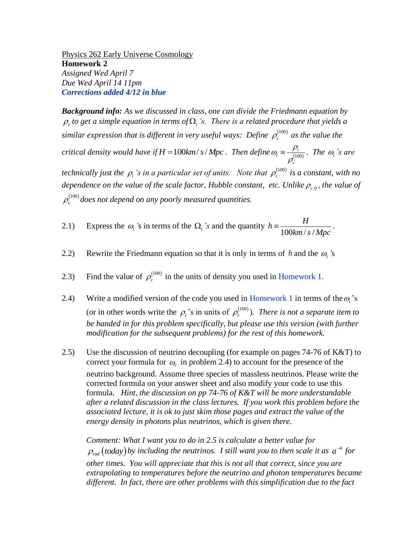Physics 262 Early Universe Cosmology **Homework 2** *Assigned Wed April 7 Due Wed April 14 11pm Corrections added 4/12 in blue*

*Background info: As we discussed in class, one can divide the Friedmann equation by*   $\rho_c$  to get a simple equation in terms of  $\Omega_i$  's. There is a related procedure that yields a similar expression that is different in very useful ways: Define  $\rho_c^{(100)}$  as the value the *critical density would have if*  $H = 100$ km/s/Mpc. Then define  $\omega_i = \frac{\mu_i}{\sqrt{100}}$  $p_i \equiv \frac{P_i}{10}$ *c*  $\omega \equiv \frac{\rho}{\sqrt{2}}$  $\rho$  $\equiv \frac{P_i}{(100)}$ . The  $\omega_i$ 's are *technically just the*  $\rho$ *<sub>i</sub>'s in a particular set of units. Note that*  $\rho_c^{(100)}$  *is a constant, with no* dependence on the value of the scale factor, Hubble constant, etc. Unlike  $\rho_{c,0}$ , the value of  $\rho_c^{(100)}$  does not depend on any poorly measured quantities.

- 2.1) Express the  $\omega_i$ 's in terms of the  $\Omega_i$ 's and the quantity  $h = \frac{H}{100 km/s}$  $h \equiv \frac{H}{\sqrt{2\pi}}$  $\frac{H}{100km/s/Mpc}$ .
- 2.2) Rewrite the Friedmann equation so that it is only in terms of h and the  $\omega_i$ 's
- 2.3) Find the value of  $\rho_c^{(100)}$  in the units of density you used in Homework 1.
- 2.4) Write a modified version of the code you used in Homework 1 in terms of the  $\omega_i$ 's (or in other words write the  $\rho_i$ 's in units of  $\rho_c^{(100)}$ ). *There is not a separate item to be handed in for this problem specifically, but please use this version (with further modification for the subsequent problems) for the rest of this homework.*
- 2.5) Use the discussion of neutrino decoupling (for example on pages 74-76 of K&T) to correct your formula for  $\omega_r$  in problem 2.4) to account for the presence of the neutrino background. Assume three species of massless neutrinos. Please write the corrected formula on your answer sheet and also modify your code to use this formula. *Hint, the discussion on pp 74-76 of K&T will be more understandable after a related discussion in the class lectures. If you work this problem before the associated lecture, it is ok to just skim those pages and extract the value of the energy density in photons plus neutrinos, which is given there.*

*Comment: What I want you to do in 2.5 is calculate a better value for*   $\rho_{\text{rad}}$  (today) by including the neutrinos. I still want you to then scale it as  $a^{-4}$  for *other times. You will appreciate that this is not all that correct, since you are extrapolating to temperatures before the neutrino and photon temperatures became different. In fact, there are other problems with this simplification due to the fact*